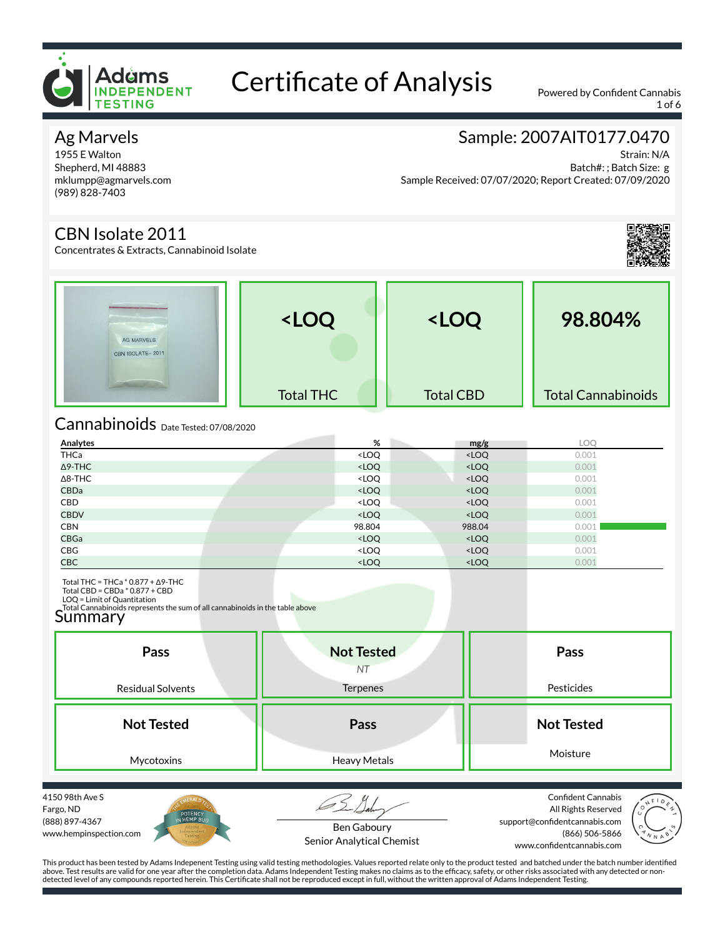

1 of 6

### Ag Marvels

1955 E Walton Shepherd, MI 48883 mklumpp@agmarvels.com (989) 828-7403

# Sample: 2007AIT0177.0470

Strain: N/A Batch#: ; Batch Size: g Sample Received: 07/07/2020; Report Created: 07/09/2020

### CBN Isolate 2011

Concentrates & Extracts, Cannabinoid Isolate



| AG MARVELS<br>CBN ISOLATE-2011 | <loq< th=""><th><loq< th=""><th>98.804%</th></loq<></th></loq<> | <loq< th=""><th>98.804%</th></loq<> | 98.804%                   |
|--------------------------------|-----------------------------------------------------------------|-------------------------------------|---------------------------|
|                                | <b>Total THC</b>                                                | <b>Total CBD</b>                    | <b>Total Cannabinoids</b> |

# Cannabinoids Date Tested: 07/08/2020

| Analytes       | %                                                             | mg/g                              | LOQ   |
|----------------|---------------------------------------------------------------|-----------------------------------|-------|
| THCa           | <loq< td=""><td><loq< td=""><td>0.001</td></loq<></td></loq<> | <loq< td=""><td>0.001</td></loq<> | 0.001 |
| Δ9-THC         | <loq< td=""><td><loq< td=""><td>0.001</td></loq<></td></loq<> | <loq< td=""><td>0.001</td></loq<> | 0.001 |
| $\Delta$ 8-THC | <loq< td=""><td><loq< td=""><td>0.001</td></loq<></td></loq<> | <loq< td=""><td>0.001</td></loq<> | 0.001 |
| <b>CBDa</b>    | <loq< td=""><td><loq< td=""><td>0.001</td></loq<></td></loq<> | <loq< td=""><td>0.001</td></loq<> | 0.001 |
| CBD            | <loq< td=""><td><loq< td=""><td>0.001</td></loq<></td></loq<> | <loq< td=""><td>0.001</td></loq<> | 0.001 |
| <b>CBDV</b>    | <loq< td=""><td><loq< td=""><td>0.001</td></loq<></td></loq<> | <loq< td=""><td>0.001</td></loq<> | 0.001 |
| <b>CBN</b>     | 98.804                                                        | 988.04                            | 0.001 |
| <b>CBGa</b>    | <loq< th=""><th><loq< th=""><th>0.001</th></loq<></th></loq<> | <loq< th=""><th>0.001</th></loq<> | 0.001 |
| CBG            | <loq< td=""><td><loq< td=""><td>0.001</td></loq<></td></loq<> | <loq< td=""><td>0.001</td></loq<> | 0.001 |
| <b>CBC</b>     | <loq< td=""><td><loq< td=""><td>0.001</td></loq<></td></loq<> | <loq< td=""><td>0.001</td></loq<> | 0.001 |

Total THC = THCa \* 0.877 + Δ9-THC Total CBD = CBDa \* 0.877 + CBD

LOQ = Limit of Quantitation

Total Cannabinoids represents the sum of all cannabinoids in the table above<br>Summary

| Pass                     | <b>Not Tested</b><br><b>NT</b> | Pass              |
|--------------------------|--------------------------------|-------------------|
| <b>Residual Solvents</b> | <b>Terpenes</b>                | Pesticides        |
| <b>Not Tested</b>        | Pass                           | <b>Not Tested</b> |
| Mycotoxins               | Heavy Metals                   | Moisture          |

4150 98th Ave S Fargo, ND (888) 897-4367 www.hempinspection.com



Ben Gaboury Senior Analytical Chemist

Confident Cannabis All Rights Reserved support@confidentcannabis.com (866) 506-5866 www.confidentcannabis.com

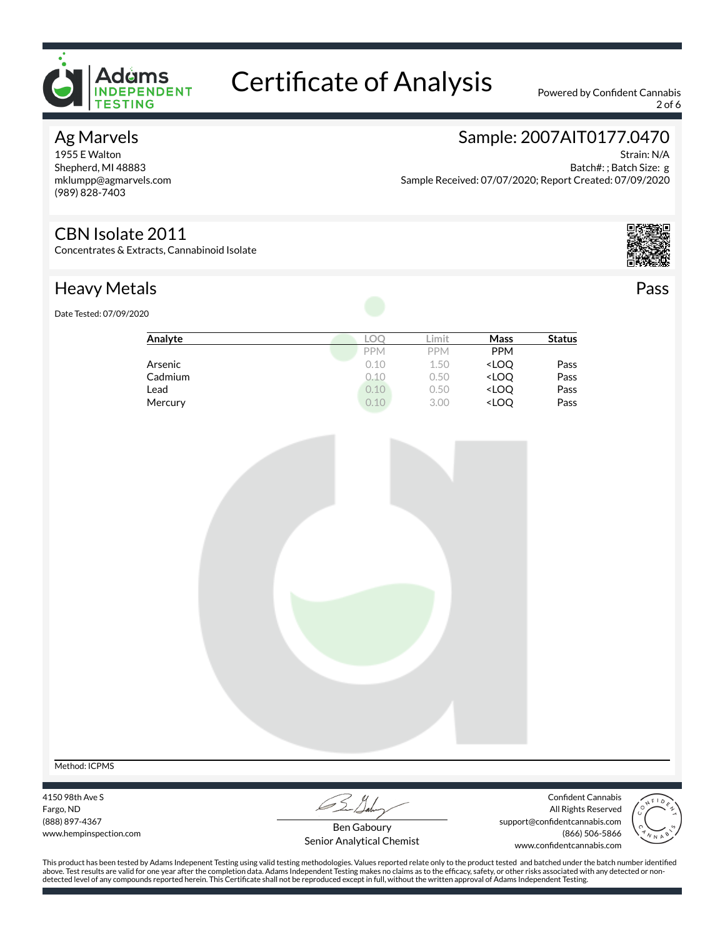

2 of 6

#### Ag Marvels

1955 E Walton Shepherd, MI 48883 mklumpp@agmarvels.com (989) 828-7403

# Sample: 2007AIT0177.0470

Strain: N/A Batch#: ; Batch Size: g Sample Received: 07/07/2020; Report Created: 07/09/2020

#### CBN Isolate 2011

Concentrates & Extracts, Cannabinoid Isolate



Pass

# Heavy Metals

Date Tested: 07/09/2020

| Analyte | LO         | Limit      | Mass                             | <b>Status</b> |
|---------|------------|------------|----------------------------------|---------------|
|         | <b>PPM</b> | <b>PPM</b> | <b>PPM</b>                       |               |
| Arsenic | 0.10       | 1.50       | <loq< td=""><td>Pass</td></loq<> | Pass          |
| Cadmium | 0.10       | 0.50       | <loq< td=""><td>Pass</td></loq<> | Pass          |
| Lead    | 0.10       | 0.50       | <loq< td=""><td>Pass</td></loq<> | Pass          |
| Mercury | 0.10       | 3.00       | <loq< td=""><td>Pass</td></loq<> | Pass          |



4150 98th Ave S Fargo, ND (888) 897-4367 www.hempinspection.com

Confident Cannabis All Rights Reserved support@confidentcannabis.com (866) 506-5866 www.confidentcannabis.com



Ben Gaboury Senior Analytical Chemist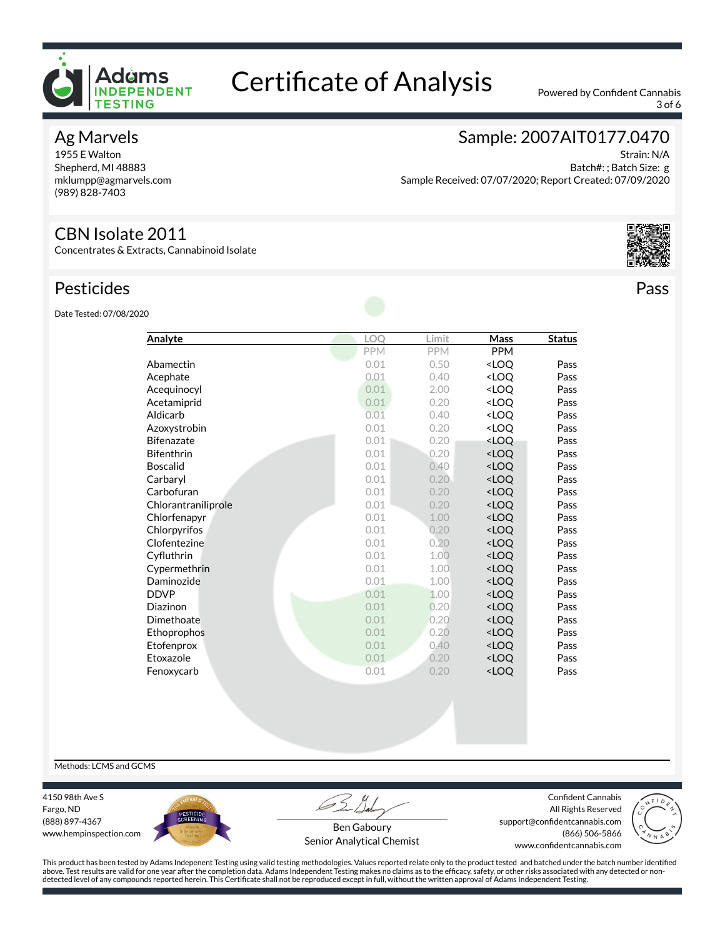

3 of 6

#### Ag Marvels

1955 E Walton Shepherd, MI 48883 mklumpp@agmarvels.com (989) 828-7403

# Sample: 2007AIT0177.0470

Strain: N/A Batch#: ; Batch Size: g Sample Received: 07/07/2020; Report Created: 07/09/2020

#### CBN Isolate 2011

Concentrates & Extracts, Cannabinoid Isolate

#### Pesticides

Date Tested: 07/08/2020

| Analyte             | <b>LOO</b> | Limit      | Mass                             | <b>Status</b> |
|---------------------|------------|------------|----------------------------------|---------------|
|                     | PPM        | <b>PPM</b> | <b>PPM</b>                       |               |
| Abamectin           | 0.01       | 0.50       | <loq< td=""><td>Pass</td></loq<> | Pass          |
| Acephate            | 0.01       | 0.40       | <loo< td=""><td>Pass</td></loo<> | Pass          |
| Acequinocyl         | 0.01       | 2.00       | <loq< td=""><td>Pass</td></loq<> | Pass          |
| Acetamiprid         | 0.01       | 0.20       | <loo< td=""><td>Pass</td></loo<> | Pass          |
| Aldicarb            | 0.01       | 0.40       | <loo< td=""><td>Pass</td></loo<> | Pass          |
| Azoxystrobin        | 0.01       | 0.20       | <loo< td=""><td>Pass</td></loo<> | Pass          |
| <b>Bifenazate</b>   | 0.01       | 0.20       | <loq< td=""><td>Pass</td></loq<> | Pass          |
| <b>Bifenthrin</b>   | 0.01       | 0.20       | <loq< td=""><td>Pass</td></loq<> | Pass          |
| <b>Boscalid</b>     | 0.01       | 0.40       | <loq< td=""><td>Pass</td></loq<> | Pass          |
| Carbaryl            | 0.01       | 0.20       | <loo< td=""><td>Pass</td></loo<> | Pass          |
| Carbofuran          | 0.01       | 0.20       | <loq< td=""><td>Pass</td></loq<> | Pass          |
| Chlorantraniliprole | 0.01       | 0.20       | <loo< td=""><td>Pass</td></loo<> | Pass          |
| Chlorfenapyr        | 0.01       | 1.00       | <loq< td=""><td>Pass</td></loq<> | Pass          |
| Chlorpyrifos        | 0.01       | 0.20       | <loq< td=""><td>Pass</td></loq<> | Pass          |
| Clofentezine        | 0.01       | 0.20       | <loo< td=""><td>Pass</td></loo<> | Pass          |
| Cyfluthrin          | 0.01       | 1.00       | <loq< td=""><td>Pass</td></loq<> | Pass          |
| Cypermethrin        | 0.01       | 1.00       | <loq< td=""><td>Pass</td></loq<> | Pass          |
| Daminozide          | 0.01       | 1.00       | <loq< td=""><td>Pass</td></loq<> | Pass          |
| <b>DDVP</b>         | 0.01       | 1.00       | <loq< td=""><td>Pass</td></loq<> | Pass          |
| Diazinon            | 0.01       | 0.20       | <loo< td=""><td>Pass</td></loo<> | Pass          |
| Dimethoate          | 0.01       | 0.20       | <loq< td=""><td>Pass</td></loq<> | Pass          |
| Ethoprophos         | 0.01       | 0.20       | <loq< td=""><td>Pass</td></loq<> | Pass          |
| Etofenprox          | 0.01       | 0.40       | <loq< td=""><td>Pass</td></loq<> | Pass          |
| Etoxazole           | 0.01       | 0.20       | <loq< td=""><td>Pass</td></loq<> | Pass          |
| Fenoxycarb          | 0.01       | 0.20       | <loq< td=""><td>Pass</td></loq<> | Pass          |

Methods: LCMS and GCMS

4150 98th Ave S Fargo, ND (888) 897-4367 www.hempinspection.com



Confident Cannabis All Rights Reserved support@confidentcannabis.com (866) 506-5866



Ben Gaboury Senior Analytical Chemist

www.confidentcannabis.com

This product has been tested by Adams Indepenent Testing using valid testing methodologies. Values reported relate only to the product tested and batched under the batch number identified above. Test results are valid for one year after the completion data. Adams Independent Testing makes no claims as to the efcacy, safety, or other risks associated with any detected or nondetected level of any compounds reported herein. This Certificate shall not be reproduced except in full, without the written approval of Adams Independent Testing.



Pass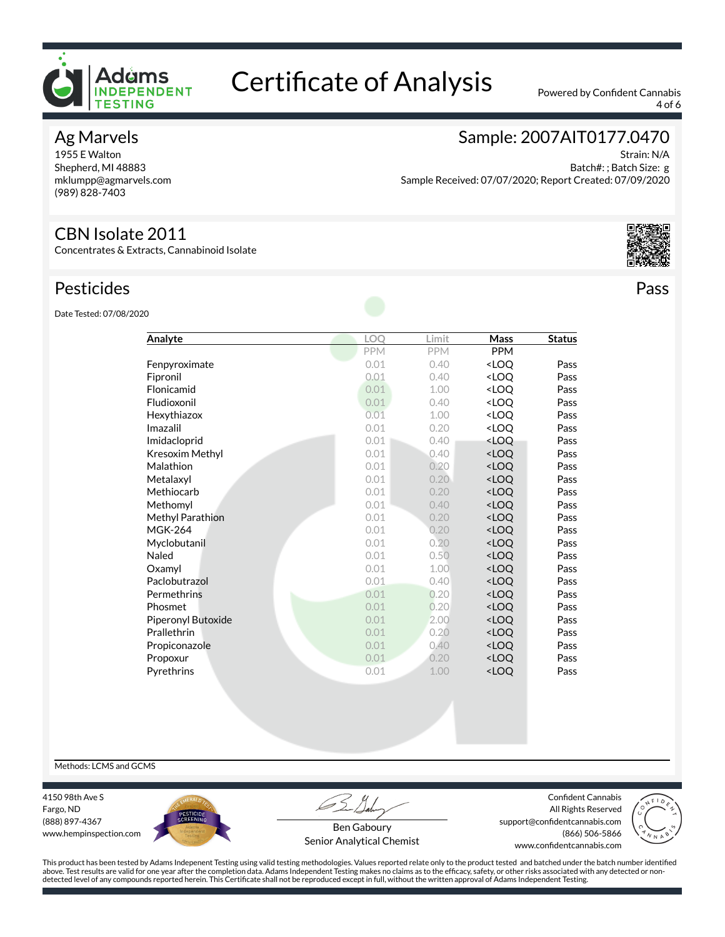

4 of 6

#### Ag Marvels

1955 E Walton Shepherd, MI 48883 mklumpp@agmarvels.com (989) 828-7403

# Sample: 2007AIT0177.0470

Strain: N/A Batch#: ; Batch Size: g Sample Received: 07/07/2020; Report Created: 07/09/2020

#### CBN Isolate 2011

Concentrates & Extracts, Cannabinoid Isolate

### Pesticides

Date Tested: 07/08/2020

| Analyte                   | <b>LOO</b> | Limit | Mass                             | <b>Status</b> |
|---------------------------|------------|-------|----------------------------------|---------------|
|                           | PPM        | PPM   | <b>PPM</b>                       |               |
| Fenpyroximate             | 0.01       | 0.40  | <loo< td=""><td>Pass</td></loo<> | Pass          |
| Fipronil                  | 0.01       | 0.40  | <loo< td=""><td>Pass</td></loo<> | Pass          |
| Flonicamid                | 0.01       | 1.00  | <loo< td=""><td>Pass</td></loo<> | Pass          |
| Fludioxonil               | 0.01       | 0.40  | <loo< td=""><td>Pass</td></loo<> | Pass          |
| Hexythiazox               | 0.01       | 1.00  | <loo< td=""><td>Pass</td></loo<> | Pass          |
| Imazalil                  | 0.01       | 0.20  | <loq< td=""><td>Pass</td></loq<> | Pass          |
| Imidacloprid              | 0.01       | 0.40  | <loq< td=""><td>Pass</td></loq<> | Pass          |
| Kresoxim Methyl           | 0.01       | 0.40  | <loq< td=""><td>Pass</td></loq<> | Pass          |
| Malathion                 | 0.01       | 0.20  | <loo< td=""><td>Pass</td></loo<> | Pass          |
| Metalaxyl                 | 0.01       | 0.20  | <loo< td=""><td>Pass</td></loo<> | Pass          |
| Methiocarb                | 0.01       | 0.20  | <loq< td=""><td>Pass</td></loq<> | Pass          |
| Methomyl                  | 0.01       | 0.40  | <loo< td=""><td>Pass</td></loo<> | Pass          |
| Methyl Parathion          | 0.01       | 0.20  | <loo< td=""><td>Pass</td></loo<> | Pass          |
| <b>MGK-264</b>            | 0.01       | 0.20  | <loo< td=""><td>Pass</td></loo<> | Pass          |
| Myclobutanil              | 0.01       | 0.20  | <loo< td=""><td>Pass</td></loo<> | Pass          |
| Naled                     | 0.01       | 0.50  | <loq< td=""><td>Pass</td></loq<> | Pass          |
| Oxamyl                    | 0.01       | 1.00  | <loo< td=""><td>Pass</td></loo<> | Pass          |
| Paclobutrazol             | 0.01       | 0.40  | <loo< td=""><td>Pass</td></loo<> | Pass          |
| Permethrins               | 0.01       | 0.20  | <loq< td=""><td>Pass</td></loq<> | Pass          |
| Phosmet                   | 0.01       | 0.20  | <loo< td=""><td>Pass</td></loo<> | Pass          |
| <b>Piperonyl Butoxide</b> | 0.01       | 2.00  | <loo< td=""><td>Pass</td></loo<> | Pass          |
| Prallethrin               | 0.01       | 0.20  | <loo< td=""><td>Pass</td></loo<> | Pass          |
| Propiconazole             | 0.01       | 0.40  | <loo< td=""><td>Pass</td></loo<> | Pass          |
| Propoxur                  | 0.01       | 0.20  | <loq< td=""><td>Pass</td></loq<> | Pass          |
| Pyrethrins                | 0.01       | 1.00  | <loq< td=""><td>Pass</td></loq<> | Pass          |
|                           |            |       |                                  |               |



Pass

Methods: LCMS and GCMS

4150 98th Ave S Fargo, ND (888) 897-4367 www.hempinspection.com



Confident Cannabis All Rights Reserved support@confidentcannabis.com (866) 506-5866 www.confidentcannabis.com



Ben Gaboury Senior Analytical Chemist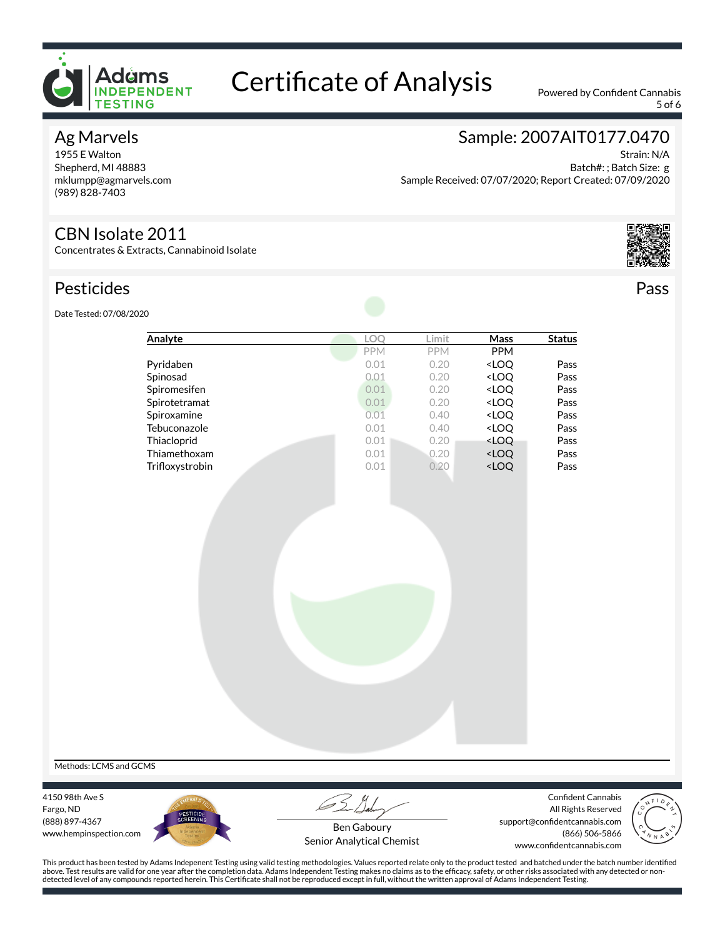

5 of 6

#### Ag Marvels

1955 E Walton Shepherd, MI 48883 mklumpp@agmarvels.com (989) 828-7403

# Sample: 2007AIT0177.0470

Strain: N/A Batch#: ; Batch Size: g Sample Received: 07/07/2020; Report Created: 07/09/2020

#### CBN Isolate 2011

Concentrates & Extracts, Cannabinoid Isolate

### Pesticides



Pass

Date Tested: 07/08/2020

| Pyridaben<br>Spinosad<br>Spiromesifen<br>Spirotetramat | <b>PPM</b><br>0.01<br>0.01<br>0.01<br>0.01 | <b>PPM</b><br>0.20<br>0.20<br>0.20 | <b>PPM</b><br><loq<br><loq<br><loq< th=""><th>Pass<br/>Pass<br/>Pass</th></loq<></loq<br></loq<br> | Pass<br>Pass<br>Pass |
|--------------------------------------------------------|--------------------------------------------|------------------------------------|----------------------------------------------------------------------------------------------------|----------------------|
|                                                        |                                            |                                    |                                                                                                    |                      |
|                                                        |                                            |                                    |                                                                                                    |                      |
|                                                        |                                            |                                    |                                                                                                    |                      |
|                                                        |                                            |                                    |                                                                                                    |                      |
|                                                        |                                            | 0.20                               | <loq< td=""><td>Pass</td></loq<>                                                                   | Pass                 |
| Spiroxamine                                            | 0.01                                       | 0.40                               | <loq< td=""><td>Pass</td></loq<>                                                                   | Pass                 |
| Tebuconazole                                           | 0.01                                       | 0.40                               | <loq< td=""><td>Pass</td></loq<>                                                                   | Pass                 |
| Thiacloprid                                            | 0.01                                       | 0.20                               | <loq< td=""><td>Pass</td></loq<>                                                                   | Pass                 |
| Thiamethoxam                                           | 0.01                                       | 0.20                               | <loq< td=""><td>Pass</td></loq<>                                                                   | Pass                 |
| Trifloxystrobin                                        | 0.01                                       | 0.20                               | <loq< td=""><td>Pass</td></loq<>                                                                   | Pass                 |
|                                                        |                                            |                                    |                                                                                                    |                      |
|                                                        |                                            |                                    |                                                                                                    |                      |
|                                                        |                                            |                                    |                                                                                                    |                      |
|                                                        |                                            |                                    |                                                                                                    |                      |
|                                                        |                                            |                                    |                                                                                                    |                      |
|                                                        |                                            |                                    |                                                                                                    |                      |
|                                                        |                                            |                                    |                                                                                                    |                      |

Methods: LCMS and GCMS

4150 98th Ave S Fargo, ND (888) 897-4367 www.hempinspection.com



Confident Cannabis All Rights Reserved support@confidentcannabis.com (866) 506-5866 www.confidentcannabis.com



Ben Gaboury Senior Analytical Chemist